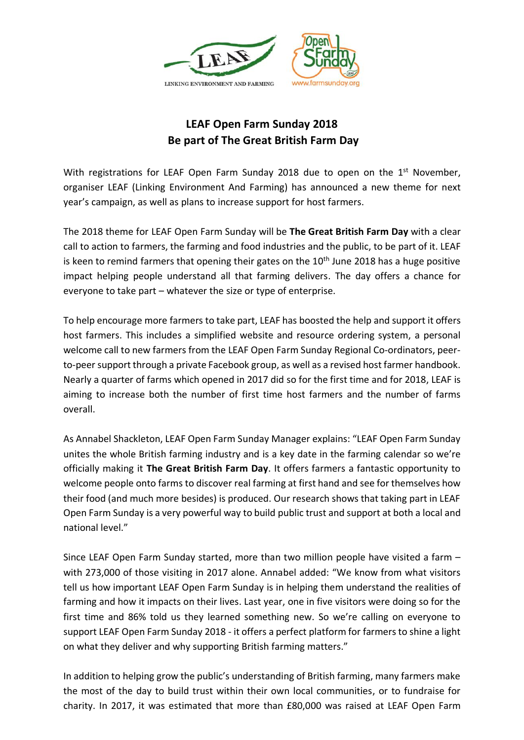

## **LEAF Open Farm Sunday 2018 Be part of The Great British Farm Day**

With registrations for LEAF Open Farm Sunday 2018 due to open on the 1<sup>st</sup> November, organiser LEAF (Linking Environment And Farming) has announced a new theme for next year's campaign, as well as plans to increase support for host farmers.

The 2018 theme for LEAF Open Farm Sunday will be **The Great British Farm Day** with a clear call to action to farmers, the farming and food industries and the public, to be part of it. LEAF is keen to remind farmers that opening their gates on the  $10<sup>th</sup>$  June 2018 has a huge positive impact helping people understand all that farming delivers. The day offers a chance for everyone to take part – whatever the size or type of enterprise.

To help encourage more farmers to take part, LEAF has boosted the help and support it offers host farmers. This includes a simplified website and resource ordering system, a personal welcome call to new farmers from the LEAF Open Farm Sunday Regional Co-ordinators, peerto-peer support through a private Facebook group, as well as a revised host farmer handbook. Nearly a quarter of farms which opened in 2017 did so for the first time and for 2018, LEAF is aiming to increase both the number of first time host farmers and the number of farms overall.

As Annabel Shackleton, LEAF Open Farm Sunday Manager explains: "LEAF Open Farm Sunday unites the whole British farming industry and is a key date in the farming calendar so we're officially making it **The Great British Farm Day**. It offers farmers a fantastic opportunity to welcome people onto farms to discover real farming at first hand and see for themselves how their food (and much more besides) is produced. Our research shows that taking part in LEAF Open Farm Sunday is a very powerful way to build public trust and support at both a local and national level."

Since LEAF Open Farm Sunday started, more than two million people have visited a farm – with 273,000 of those visiting in 2017 alone. Annabel added: "We know from what visitors tell us how important LEAF Open Farm Sunday is in helping them understand the realities of farming and how it impacts on their lives. Last year, one in five visitors were doing so for the first time and 86% told us they learned something new. So we're calling on everyone to support LEAF Open Farm Sunday 2018 - it offers a perfect platform for farmers to shine a light on what they deliver and why supporting British farming matters."

In addition to helping grow the public's understanding of British farming, many farmers make the most of the day to build trust within their own local communities, or to fundraise for charity. In 2017, it was estimated that more than £80,000 was raised at LEAF Open Farm